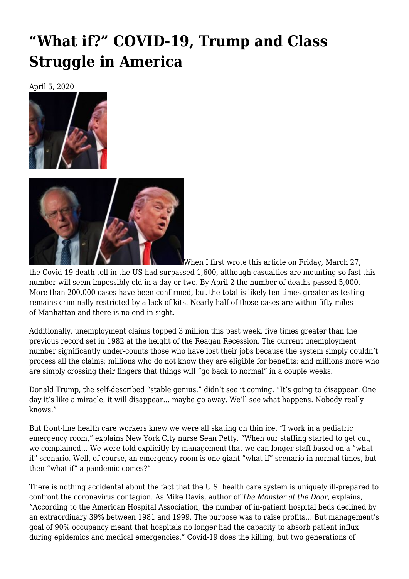# **["What if?" COVID-19, Trump and Class](https://newpol.org/what-if-covid-19-trump-and-class-struggle-in-america/) [Struggle in America](https://newpol.org/what-if-covid-19-trump-and-class-struggle-in-america/)**

April 5, 2020





When I first wrote this article on Friday, March 27,

the [Covid-19](https://www.nytimes.com/interactive/2020/world/coronavirus-maps.html?action=click&pgtype=Article&state=default&module=styln-coronavirus&variant=show®ion=TOP_BANNER&context=storyline_menu?action=click&pgtype=Article&state=default&module=styln-coronavirus&variant=show®ion=TOP_BANNER&context=storyline_menu) death toll in the US had surpassed 1,600, although casualties are mounting so fast this number will seem impossibly old in a day or two. By April 2 the number of deaths passed 5,000. More than 200,000 cases have been confirmed, but the total is likely ten times greater as testing remains criminally restricted by a lack of kits. Nearly half of those cases are [within fifty miles](https://www.nytimes.com/interactive/2020/world/coronavirus-maps.html?action=click&pgtype=Article&state=default&module=styln-coronavirus&variant=show®ion=TOP_BANNER&context=storyline_menu?action=click&pgtype=Article&state=default&module=styln-coronavirus&variant=show®ion=TOP_BANNER&context=storyline_menu#us) [of](https://www.nytimes.com/interactive/2020/world/coronavirus-maps.html?action=click&pgtype=Article&state=default&module=styln-coronavirus&variant=show®ion=TOP_BANNER&context=storyline_menu?action=click&pgtype=Article&state=default&module=styln-coronavirus&variant=show®ion=TOP_BANNER&context=storyline_menu#us) Manhattan and there is no end in sight.

Additionally, unemployment claims [topped 3 million](https://www.theguardian.com/business/2020/mar/26/us-unemployment-rate-coronavirus-business) this past week, five times greater than the previous record set in 1982 at the height of the Reagan Recession. The current unemployment number significantly under-counts those who have lost their jobs because the system simply couldn't process all the claims; millions who do not know they are eligible for benefits; and millions more who are simply crossing their fingers that things will "go back to normal" in a couple weeks.

Donald Trump, the self-described "stable genius," didn't see it coming. "It's going to disappear. One day it's [like a miracle](https://www.cnn.com/2020/02/28/politics/donald-trump-coronavirus-miracle-stock-markets/index.html), it will disappear… maybe go away. We'll see what happens. Nobody really knows."

But front-line health care workers knew we were all skating on thin ice. "I work in a pediatric emergency room," explains New York City nurse Sean Petty. "When our staffing started to get cut, we complained… We were told explicitly by management that we can longer staff based on a "what if" scenario. Well, of course, an emergency room is one giant "what if" scenario in normal times, [but](https://indypendent.org/2020/03/a-dire-warning-from-an-nyc-public-hospital-worker-we-should-expect-the-worst-from-coronavirus/) [then "what if" a pandemic comes](https://indypendent.org/2020/03/a-dire-warning-from-an-nyc-public-hospital-worker-we-should-expect-the-worst-from-coronavirus/)?"

There is nothing accidental about the fact that the U.S. health care system is uniquely ill-prepared to confront the coronavirus contagion. As Mike Davis, author of *[The Monster at the Door](https://bookshop.org/books/the-monster-at-our-door-the-global-threat-of-avian-flu-revised-expanded/9780805081916)*, explains, "According to the American Hospital Association, the number of in-patient [hospital beds declined by](https://inthesetimes.com/article/22394/coronavirus-crisis-capitalism-covid-19-monster-mike-davis) [an extraordinary 39%](https://inthesetimes.com/article/22394/coronavirus-crisis-capitalism-covid-19-monster-mike-davis) between 1981 and 1999. The purpose was to raise profits… But management's goal of 90% occupancy meant that hospitals no longer had the capacity to absorb patient influx during epidemics and medical emergencies." Covid-19 does the killing, but two generations of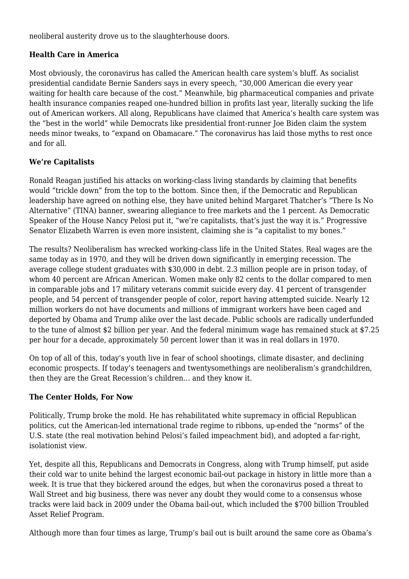neoliberal austerity drove us to the slaughterhouse doors.

# **Health Care in America**

Most obviously, the coronavirus has [called the American health care system's bluff.](https://www.theatlantic.com/ideas/archive/2020/03/coronavirus-showed-america-wasnt-task/608023/) As socialist presidential candidate Bernie Sanders says in every speech, ["30,000 American die every year](https://twitter.com/BernieSanders/status/1141732807686926336) waiting for health care because of the cost." Meanwhile, big pharmaceutical companies and private health insurance companies reaped [one-hundred billion in profits](https://khn.org/news/sanders-targets-health-industry-profits-are-his-figures-right/) last year, literally sucking the life out of American workers. All along, Republicans have claimed that America's health care system was the "[best in the world](https://www.politifact.com/factchecks/2012/jul/05/john-boehner/john-boehner-says-us-health-care-system-best-world/)" while Democrats like presidential front-runner Joe Biden claim the system needs minor tweaks, to "[expand on Obamacare](https://theintercept.com/2020/03/06/biden-campaign-health-care-platform-affordable-care-act/)." The coronavirus has laid those myths to rest once and for all.

# **We're Capitalists**

Ronald Reagan justified his attacks on working-class living standards by claiming that benefits would "trickle down" from the top to the bottom. Since then, if the Democratic and Republican leadership have agreed on nothing else, they have united behind Margaret Thatcher's "There Is No Alternative" (TINA) banner, swearing allegiance to free markets and the 1 percent. As Democratic Speaker of the House Nancy Pelosi put it, "[we're capitalists](https://nyulocal.com/nancy-pelosi-to-leftist-nyu-student-were-capitalists-deal-with-it-abf1e8e04e46), that's just the way it is." Progressive Senator Elizabeth Warren is even more insistent, claiming she is ["a capitalist to my bones](https://www.newsweek.com/elizabeth-warren-capitalism-2020-democratic-candidate-fdr-socialism-1483697)."

The results? Neoliberalism has wrecked working-class life in the United States. Real wages are the [same today as in 1970,](https://www.pewresearch.org/fact-tank/2018/08/07/for-most-us-workers-real-wages-have-barely-budged-for-decades/) and they will be driven down significantly in emerging recession. The average college student graduates with [\\$30,000 in debt.](https://studentloanhero.com/student-loan-debt-statistics/) [2.3 million people are in prison](https://www.prisonpolicy.org/reports/pie2019.html) today, of whom 40 percent are African American. Women make only [82 cents to the dollar](https://iwpr.org/issue/employment-education-economic-change/pay-equity-discrimination/) compared to men in comparable jobs and 17 military veterans commit [suicide](https://www.militarytimes.com/news/pentagon-congress/2019/10/09/new-veteran-suicide-numbers-raise-concerns-among-experts-hoping-for-positive-news/) every day. 41 percent of [transgender](https://www.thetaskforce.org/attempted-suicide-rate-for-multiracial-transgender-people-thirty-three-times-higher-than-general-population/) [people](https://www.thetaskforce.org/attempted-suicide-rate-for-multiracial-transgender-people-thirty-three-times-higher-than-general-population/), and 54 percent of transgender people of color, report having attempted suicide. Nearly 12 million workers do not have documents and millions of immigrant workers have been caged and [deported by Obama](https://www.migrationpolicy.org/article/obama-record-deportations-deporter-chief-or-not) and [Trump](https://www.aljazeera.com/news/2019/11/held-record-69550-migrant-children-custody-2019-report-191112132803440.html) alike over the last decade. Public schools are radically [underfunded](https://www.aft.org/press-release/education-underfunding-tops-19-billion-over-decade-neglect) to the tune of almost \$2 billion per year. And the [federal minimum wage](https://www.cnn.com/interactive/2019/business/us-minimum-wage-by-year/index.html) has remained stuck at \$7.25 per hour for a decade, approximately 50 percent lower than it was in real dollars in 1970.

On top of all of this, today's youth live in fear of school shootings, climate disaster, and declining economic prospects. If today's teenagers and twentysomethings are neoliberalism's grandchildren, then they are the Great Recession's children… and they know it.

### **The Center Holds, For Now**

Politically, Trump broke the mold. He has [rehabilitated white supremacy](https://jacobinmag.com/2017/08/charlottesville-racist-march-heather-heyer) in official Republican politics, cut the American-led international trade regime to ribbons, up-ended the ["norms" of the](https://www.politico.com/news/2019/10/20/state-department-trump-051564) [U.S. state](https://www.politico.com/news/2019/10/20/state-department-trump-051564) (the real motivation behind Pelosi's failed impeachment bid), and adopted a far-right, [isolationist view.](https://socialistworker.org/2019/01/07/the-wrong-kind-of-unity-against-trump)

Yet, despite all this, Republicans and Democrats in Congress, along with Trump himself, put aside their cold war to unite behind the largest economic bail-out package in history in little more than a week. It is true that they bickered around the edges, but when the coronavirus posed a threat to Wall Street and big business, there was never any doubt they would come to a consensus whose tracks were laid back in 2009 under the [Obama bail-out,](https://www.thebalance.com/what-was-obama-s-stimulus-package-3305625) which included the [\\$700 billion Troubled](https://www.thenation.com/article/archive/democrats-who-voted-against-tarp-funds-say-it-wasnt-about-the-auto-bailouts/) [Asset Relief Program.](https://www.thenation.com/article/archive/democrats-who-voted-against-tarp-funds-say-it-wasnt-about-the-auto-bailouts/)

Although more than four times as large, Trump's bail out is built around the same core as Obama's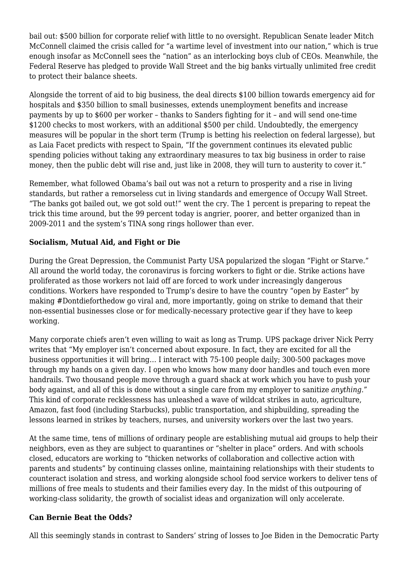bail out: [\\$500 billion for corporate relief](https://prospect.org/economy/repeating-the-mistakes-of-the-2008-bailout/) with little to no oversight. Republican Senate leader Mitch McConnell claimed the crisis called for "a [wartime level of investment into our nation,](https://www.huffpost.com/entry/senate-democrats-donald-trump-coronavirus-bill_n_5e7b77a6c5b62a1870d62d83)" which is true enough insofar as McConnell sees the "nation" as an interlocking boys club of CEOs. Meanwhile, the Federal Reserve has pledged to provide Wall Street and the big banks virtually [unlimited free credit](https://www.nytimes.com/2020/03/23/business/economy/coronavirus-fed-bond-buying.html) to protect their balance sheets.

Alongside the [torrent of aid to big business,](https://www.jacobinmag.com/2020/03/corporate-bailout-2009-auto-workers-recession-coronavirus) the [deal](https://www.nytimes.com/2020/03/26/world/coronavirus-news.html?action=click&module=Spotlight&pgtype=Homepage#link-5880347a) directs \$100 billion towards emergency aid for hospitals and \$350 billion to small businesses, extends unemployment benefits and increase payments by up to \$600 per worker – thanks to [Sanders fighting](https://www.theguardian.com/us-news/video/2020/mar/26/the-universe-is-collapsing-bernie-sanders-mocks-republicans-over-coronavirus-aid-video) for it – and will send one-time \$1200 checks to most workers, with an additional \$500 per child. Undoubtedly, the emergency measures will be popular in the short term (Trump is [betting his reelection](https://fivethirtyeight.com/features/trumps-reelection-may-hinge-on-the-economy-and-coronavirus/) on federal largesse), but as [Laia Facet predicts](https://nobordersnews.org/2020/03/20/laia-facet-1000-covid-19-deaths-in-the-spanish-state-no-end-in-sight-video/) with respect to Spain, "If the government continues its elevated public spending policies without taking any extraordinary measures to tax big business in order to raise money, then the public debt will rise and, just like in 2008, they will turn to austerity to cover it."

Remember, what followed Obama's bail out was not a return to prosperity and a rise in living standards, but rather a remorseless cut in living standards and emergence of [Occupy Wall Street](https://socialistworker.org/2016/10/25/the-occupation-heard-around-the-world). "The banks got bailed out, we got sold out!" went the cry. The 1 percent is preparing to repeat the trick this time around, but the 99 percent today is angrier, poorer, and better organized than in 2009-2011 and the system's TINA song rings hollower than ever.

### **Socialism, Mutual Aid, and Fight or Die**

During the Great Depression, the Communist Party USA popularized the slogan "Fight or Starve." All around the world today, the coronavirus is forcing workers to fight or die. Strike actions have proliferated as those workers not laid off are forced to work under increasingly dangerous conditions. Workers have responded to Trump's desire to have the country ["open by Easter"](https://www.politico.com/news/2020/03/24/trump-wants-to-restart-economy-by-mid-april-146398) by making [#Dontdieforthedow](https://twitter.com/search?q=%23DontDieForTheDow&src=typeahead_click) go viral and, more importantly, going on strike to demand that their non-essential businesses close or for medically-necessary protective gear if they have to keep working.

Many corporate chiefs aren't even willing to wait as long as Trump. UPS package driver Nick Perry writes that "My [employer isn't concerned about exposure](https://labornotes.org/blogs/2020/03/frontline-pandemic-ups-workers-view). In fact, they are excited for all the business opportunities it will bring… I interact with 75-100 people daily; 300-500 packages move through my hands on a given day. I open who knows how many door handles and touch even more handrails. Two thousand people move through a guard shack at work which you have to push your body against, and all of this is done without a single care from my employer to sanitize *anything*." This kind of corporate recklessness has unleashed a [wave of wildcat strikes](https://itsgoingdown.org/workers-walk-off-job-coronavirus/?fbclid=IwAR0AQt6EOWatJ5ptPb-FK2rliMQMAkteKEHLu_4OAbIF11d5s2agMmor86s) in auto, agriculture, Amazon, fast food (including [Starbucks](https://thehill.com/regulation/business/488766-starbucks-closes-all-but-drive-thrus-during-coronavirus-outbreak-will-pay)), public transportation, and [shipbuilding](https://www.sunjournal.com/2020/03/24/only-41-of-biw-workers-come-to-work-after-first-case-of-coronavirus-at-the-shipyard/), spreading the lessons learned in [strikes by teachers, nurses, and university workers](https://jacobinmag.com/2019/12/end-of-year-2019-class-struggle-left-strikes) over the last two years.

At the same time, tens of millions of ordinary people are establishing mutual aid groups to help their neighbors, even as they are subject to quarantines or "shelter in place" orders. And with schools closed, educators are working to "thicken [networks of collaboration and collective action](https://rampantmag.com/2020/03/26/chicago-teachers-confront-the-crisis/?fbclid=IwAR26hcMHS7Tt-3YuFoCaQJnWYqh1dGJS22PgIc-Qvw3thzrAwKLt42yugrY) with parents and students" by continuing classes online, maintaining relationships with their students to counteract isolation and stress, and working alongside school food service workers to deliver tens of millions of free meals to students and their families every day. In the midst of this outpouring of working-class solidarity, the growth of socialist ideas and organization will only accelerate.

### **Can Bernie Beat the Odds?**

All this seemingly stands in contrast to Sanders' string of losses to Joe Biden in the Democratic Party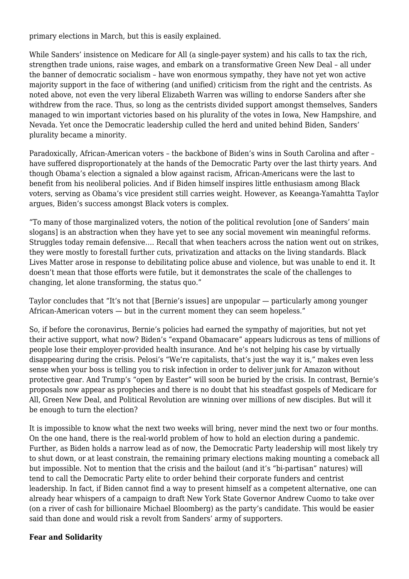primary elections in March, but this is easily explained.

While Sanders' insistence on Medicare for All (a single-payer system) and his calls to tax the rich, strengthen trade unions, raise wages, and embark on a transformative Green New Deal – all under the banner of democratic socialism – have won enormous sympathy, they have not yet won active majority support in the face of withering (and unified) criticism from the right and the centrists. As noted above, not even the very liberal Elizabeth Warren was willing to endorse Sanders after she withdrew from the race. Thus, so long as the centrists divided support amongst themselves, Sanders managed to win important victories based on his plurality of the votes in Iowa, New Hampshire, and Nevada. Yet once the Democratic leadership culled the herd and united behind Biden, Sanders' plurality became a minority.

Paradoxically, African-American voters – the backbone of Biden's wins in South Carolina and after – have suffered disproportionately at the hands of the Democratic Party over the last thirty years. And though Obama's election a signaled a blow against racism, [African-Americans were the last to](https://www.nytimes.com/2020/02/05/opinion/Biden-Obama-2020.html) [benefit](https://www.nytimes.com/2020/02/05/opinion/Biden-Obama-2020.html) from his neoliberal policies. And if Biden himself inspires little enthusiasm among Black voters, serving as Obama's vice president still carries weight. However, as [Keeanga-Yamahtta Taylor](https://www.nytimes.com/2020/03/14/opinion/bernie-sanders-black-voters.html) [argues,](https://www.nytimes.com/2020/03/14/opinion/bernie-sanders-black-voters.html) Biden's success amongst Black voters is complex.

"To many of those marginalized voters, the notion of the political revolution [one of Sanders' main slogans] is an abstraction when they have yet to see any social movement win meaningful reforms. Struggles today remain defensive…. Recall that when teachers across the nation went out on strikes, they were mostly to forestall further cuts, privatization and attacks on the living standards. Black Lives Matter arose in response to debilitating police abuse and violence, but was unable to end it. It doesn't mean that those efforts were futile, but it demonstrates the scale of the challenges to changing, let alone transforming, the status quo."

Taylor concludes that "It's not that [Bernie's issues] are unpopular — particularly among younger African-American voters — but in the current moment they can seem hopeless."

So, if before the coronavirus, Bernie's policies had earned the sympathy of majorities, but not yet their active support, what now? Biden's "expand Obamacare" appears ludicrous as tens of millions of people lose their employer-provided health insurance. And he's not helping his case by [virtually](https://jacobinmag.com/2020/03/joe-biden-democratic-party-presidential-primary-medicare) [disappearing](https://jacobinmag.com/2020/03/joe-biden-democratic-party-presidential-primary-medicare) during the crisis. Pelosi's "We're capitalists, that's just the way it is," makes even less sense when your boss is telling you to risk infection in order to deliver junk for Amazon without protective gear. And Trump's "open by Easter" will soon be buried by the crisis. In contrast, Bernie's proposals now appear as [prophecies](https://www.independent.co.uk/voices/coronavirus-bernie-sanders-biden-medicare-for-all-wheresjoe-wedeservebernie-a9421471.html) and there is no doubt that his steadfast gospels of Medicare for All, Green New Deal, and Political Revolution are winning over millions of new disciples. But will it be enough to turn the election?

It is impossible to know what the next two weeks will bring, never mind the next two or four months. On the one hand, there is the real-world problem of how to hold an election during a pandemic. Further, as Biden holds a narrow lead as of now, the Democratic Party leadership will most likely try to shut down, or at least constrain, the remaining primary elections making mounting a comeback all but impossible. Not to mention that the crisis and the bailout (and it's "bi-partisan" natures) will tend to call the Democratic Party elite to order behind their corporate funders and centrist leadership. In fact, if Biden cannot find a way to present himself as a competent alternative, one can already hear whispers of a campaign to draft New York State Governor Andrew Cuomo to take over (on a river of cash for billionaire Michael Bloomberg) as the party's candidate. This would be easier said than done and would risk a revolt from Sanders' army of supporters.

#### **Fear and Solidarity**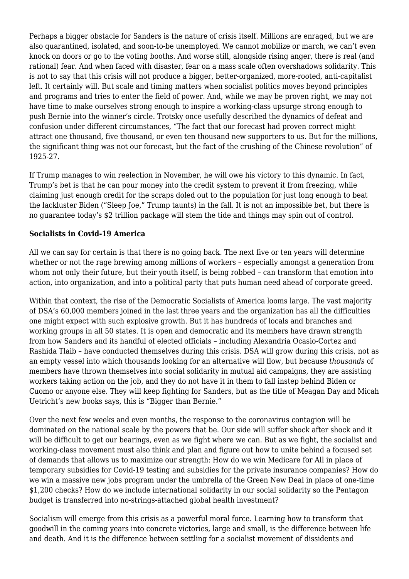Perhaps a bigger obstacle for Sanders is the nature of crisis itself. Millions are enraged, but we are also quarantined, isolated, and soon-to-be unemployed. We cannot mobilize or march, we can't even knock on doors or go to the voting booths. And worse still, alongside rising anger, there is real (and rational) fear. And when faced with disaster, fear on a mass scale often overshadows solidarity. This is not to say that this crisis will not produce a bigger, better-organized, more-rooted, anti-capitalist left. It certainly will. But scale and timing matters when socialist politics moves beyond principles and programs and tries to enter the field of power. And, while we may be proven right, we may not have time to make ourselves strong enough to inspire a working-class upsurge strong enough to push Bernie into the winner's circle. Trotsky once usefully described the dynamics of defeat and confusion under different circumstances, "The fact that our forecast had proven correct might attract one thousand, five thousand, or even ten thousand new supporters to us. But for the millions, the significant thing was not our forecast, but the fact of the crushing of the Chinese revolution" of 1925-27.

If Trump manages to win reelection in November, he will owe his victory to this dynamic. In fact, Trump's bet is that he can pour money into the credit system to prevent it from freezing, while claiming just enough credit for the scraps doled out to the population for just long enough to beat the lackluster Biden ("Sleep Joe," Trump taunts) in the fall. It is not an impossible bet, but there is no guarantee today's \$2 trillion package will stem the tide and things may spin out of control.

#### **Socialists in Covid-19 America**

All we can say for certain is that there is no going back. The next five or ten years will determine whether or not the rage brewing among millions of workers – especially amongst a generation from whom not only their future, but their youth itself, is being robbed – can transform that emotion into action, into organization, and into a political party that puts human need ahead of corporate greed.

Within that context, the rise of the Democratic Socialists of America looms large. The vast majority of DSA's 60,000 members joined in the last three years and the organization has all the difficulties one might expect with such explosive growth. But it has hundreds of locals and branches and working groups in all 50 states. It is open and democratic and its members have drawn strength from how Sanders and its handful of elected officials – including Alexandria Ocasio-Cortez and Rashida Tlaib – have [conducted themselves](https://www.salon.com/2020/03/24/aoc-tells-susan-collins-to-keep-her-crocodile-tears-over-senate-republicans-coronavirus-bill_partner/) during this crisis. DSA will grow during this crisis, not as an empty vessel into which thousands looking for an alternative will flow, but because *thousands* of members have [thrown themselves into social solidarity](https://www.dsausa.org/news/dsa-covid-19-bulletin-4-this-is-barbarism/?link_id=0&can_id=bf2834e76b2f9ca1df31e07ba05dfa2a&source=email-dsa-covid-19-bulletin-number&email_referrer=email_759720___subject_1016323&email_subject=this-is-barbarism-_-bulletin-4#fighting_for_the_world) in mutual aid campaigns, they are assisting workers taking action on the job, and they do not have it in them to fall instep behind Biden or Cuomo or anyone else. They will keep fighting for Sanders, but as the title of Meagan Day and Micah Uetricht's new books says, this is ["Bigger than Bernie](https://www.amazon.com/Bigger-Than-Bernie-Democratic-Socialism-ebook/dp/B07VSBY9J2)."

Over the next few weeks and even months, the response to the coronavirus contagion will be dominated on the national scale by the powers that be. Our side will suffer shock after shock and it will be difficult to get our bearings, even as we fight where we can. But as we fight, the socialist and working-class movement must also think and plan and figure out how to unite behind a focused set of demands that allows us to maximize our strength: How do we win Medicare for All in place of temporary subsidies for Covid-19 testing and subsidies for the private insurance companies? How do we win a massive new jobs program under the umbrella of the Green New Deal in place of one-time \$1,200 checks? How do we include international solidarity in our social solidarity so the Pentagon budget is transferred into no-strings-attached global health investment?

Socialism will emerge from this crisis as a powerful moral force. Learning how to transform that goodwill in the coming years into concrete victories, large and small, is the difference between life and death. And it is the difference between settling for a socialist movement of dissidents and